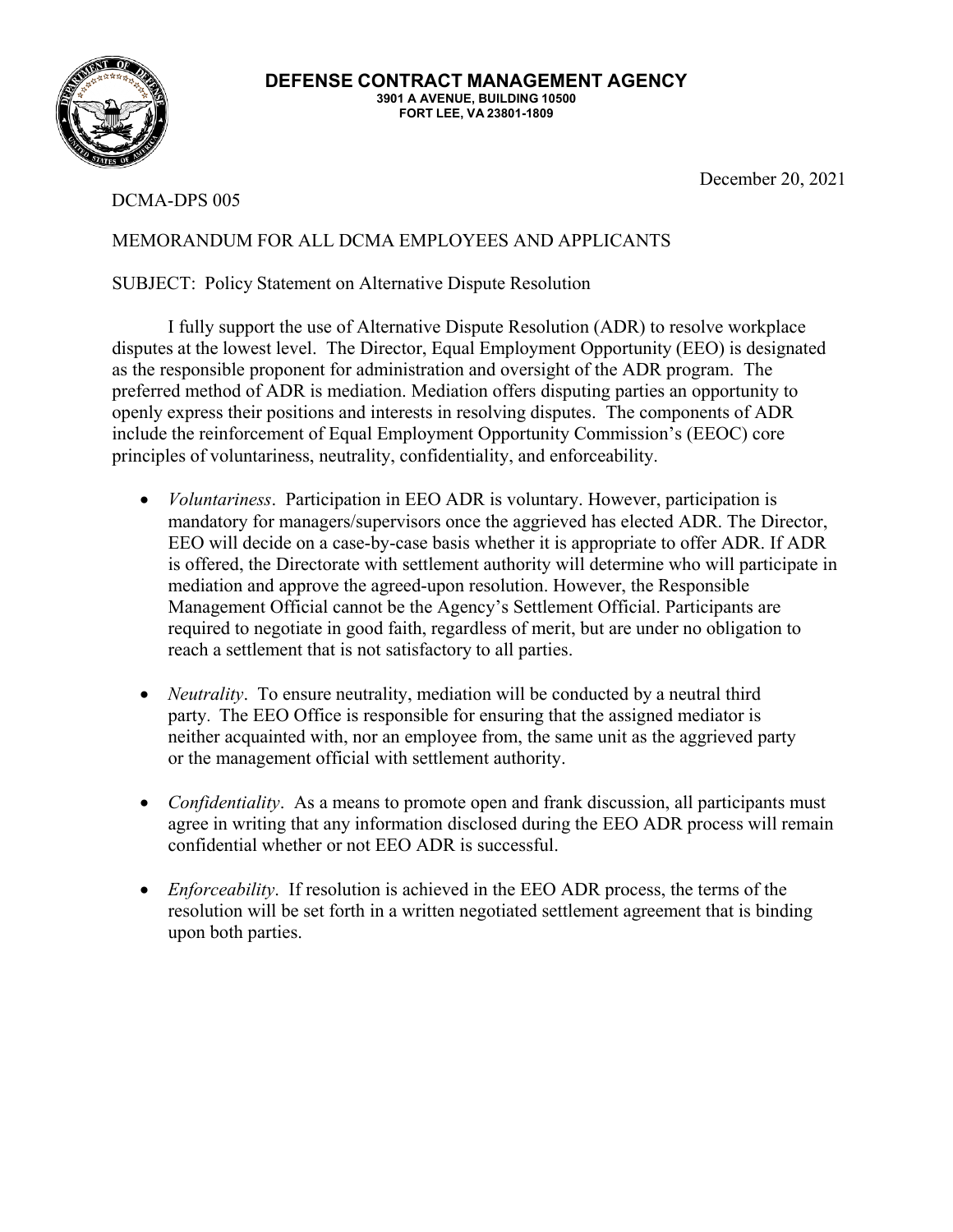

**DEFENSE CONTRACT MANAGEMENT AGENCY 3901 A AVENUE, BUILDING 10500 FORT LEE, VA 23801-1809**

DCMA-DPS 005

December 20, 2021

## MEMORANDUM FOR ALL DCMA EMPLOYEES AND APPLICANTS

## SUBJECT: Policy Statement on Alternative Dispute Resolution

I fully support the use of Alternative Dispute Resolution (ADR) to resolve workplace disputes at the lowest level. The Director, Equal Employment Opportunity (EEO) is designated as the responsible proponent for administration and oversight of the ADR program. The preferred method of ADR is mediation. Mediation offers disputing parties an opportunity to openly express their positions and interests in resolving disputes. The components of ADR include the reinforcement of Equal Employment Opportunity Commission's (EEOC) core principles of voluntariness, neutrality, confidentiality, and enforceability.

- *Voluntariness*. Participation in EEO ADR is voluntary. However, participation is mandatory for managers/supervisors once the aggrieved has elected ADR. The Director, EEO will decide on a case-by-case basis whether it is appropriate to offer ADR. If ADR is offered, the Directorate with settlement authority will determine who will participate in mediation and approve the agreed-upon resolution. However, the Responsible Management Official cannot be the Agency's Settlement Official. Participants are required to negotiate in good faith, regardless of merit, but are under no obligation to reach a settlement that is not satisfactory to all parties.
- *Neutrality*. To ensure neutrality, mediation will be conducted by a neutral third party. The EEO Office is responsible for ensuring that the assigned mediator is neither acquainted with, nor an employee from, the same unit as the aggrieved party or the management official with settlement authority.
- *Confidentiality*. As a means to promote open and frank discussion, all participants must agree in writing that any information disclosed during the EEO ADR process will remain confidential whether or not EEO ADR is successful.
- *Enforceability*. If resolution is achieved in the EEO ADR process, the terms of the resolution will be set forth in a written negotiated settlement agreement that is binding upon both parties.